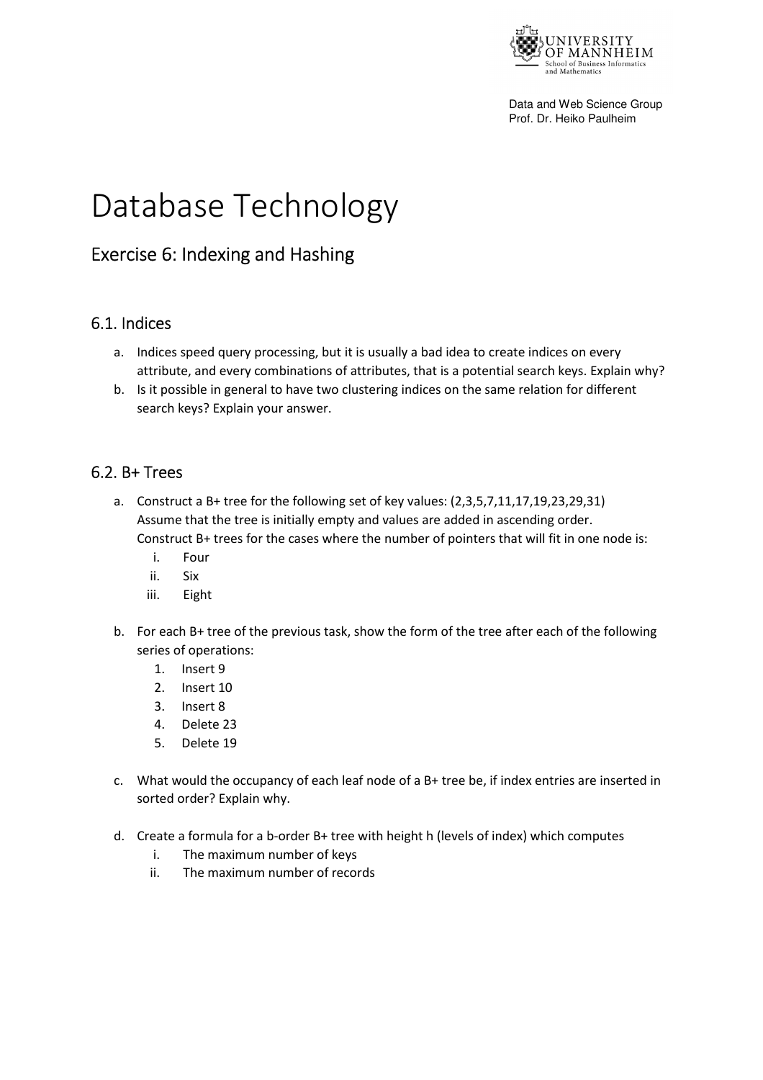

Data and Web Science Group Prof. Dr. Heiko Paulheim

# Database Technology

## Exercise 6: Indexing and Hashing

#### 6.1. Indices

- a. Indices speed query processing, but it is usually a bad idea to create indices on every attribute, and every combinations of attributes, that is a potential search keys. Explain why?
- b. Is it possible in general to have two clustering indices on the same relation for different search keys? Explain your answer.

#### 6.2. B+ Trees

- a. Construct a B+ tree for the following set of key values: (2,3,5,7,11,17,19,23,29,31) Assume that the tree is initially empty and values are added in ascending order. Construct B+ trees for the cases where the number of pointers that will fit in one node is:
	- i. Four
	- ii. Six
	- iii. Eight
- b. For each B+ tree of the previous task, show the form of the tree after each of the following series of operations:
	- 1. Insert 9
	- 2. Insert 10
	- 3. Insert 8
	- 4. Delete 23
	- 5. Delete 19
- c. What would the occupancy of each leaf node of a B+ tree be, if index entries are inserted in sorted order? Explain why.
- d. Create a formula for a b-order B+ tree with height h (levels of index) which computes
	- i. The maximum number of keys
	- ii. The maximum number of records